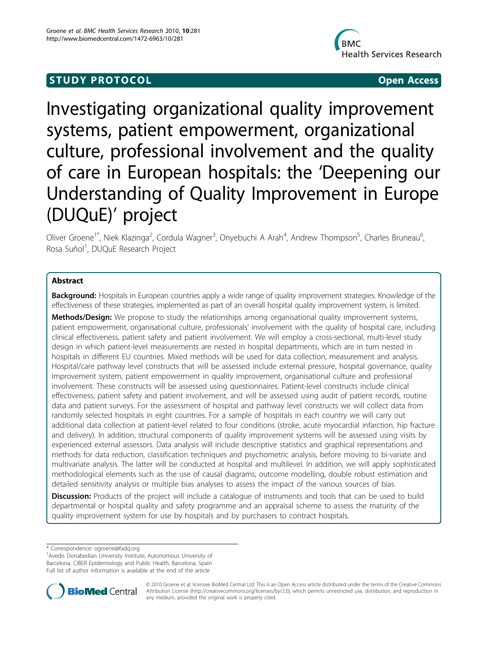# **STUDY PROTOCOL** And the state of the state of the state of the state of the state of the state of the state of the state of the state of the state of the state of the state of the state of the state of the state of the st



# Investigating organizational quality improvement systems, patient empowerment, organizational culture, professional involvement and the quality of care in European hospitals: the 'Deepening our Understanding of Quality Improvement in Europe (DUQuE)' project

Oliver Groene<sup>1\*</sup>, Niek Klazinga<sup>2</sup>, Cordula Wagner<sup>3</sup>, Onyebuchi A Arah<sup>4</sup>, Andrew Thompson<sup>5</sup>, Charles Bruneau<sup>6</sup> י<br>, Rosa Suñol<sup>1</sup>, DUQuE Research Project

# Abstract

Background: Hospitals in European countries apply a wide range of quality improvement strategies. Knowledge of the effectiveness of these strategies, implemented as part of an overall hospital quality improvement system, is limited.

Methods/Design: We propose to study the relationships among organisational quality improvement systems, patient empowerment, organisational culture, professionals' involvement with the quality of hospital care, including clinical effectiveness, patient safety and patient involvement. We will employ a cross-sectional, multi-level study design in which patient-level measurements are nested in hospital departments, which are in turn nested in hospitals in different EU countries. Mixed methods will be used for data collection, measurement and analysis. Hospital/care pathway level constructs that will be assessed include external pressure, hospital governance, quality improvement system, patient empowerment in quality improvement, organisational culture and professional involvement. These constructs will be assessed using questionnaires. Patient-level constructs include clinical effectiveness, patient safety and patient involvement, and will be assessed using audit of patient records, routine data and patient surveys. For the assessment of hospital and pathway level constructs we will collect data from randomly selected hospitals in eight countries. For a sample of hospitals in each country we will carry out additional data collection at patient-level related to four conditions (stroke, acute myocardial infarction, hip fracture and delivery). In addition, structural components of quality improvement systems will be assessed using visits by experienced external assessors. Data analysis will include descriptive statistics and graphical representations and methods for data reduction, classification techniques and psychometric analysis, before moving to bi-variate and multivariate analysis. The latter will be conducted at hospital and multilevel. In addition, we will apply sophisticated methodological elements such as the use of causal diagrams, outcome modelling, double robust estimation and detailed sensitivity analysis or multiple bias analyses to assess the impact of the various sources of bias.

**Discussion:** Products of the project will include a catalogue of instruments and tools that can be used to build departmental or hospital quality and safety programme and an appraisal scheme to assess the maturity of the quality improvement system for use by hospitals and by purchasers to contract hospitals.

<sup>1</sup> Avedis Donabedian University Institute, Autonomous University of Barcelona, CIBER Epidemiology and Public Health, Barcelona, Spain Full list of author information is available at the end of the article



© 2010 Groene et al; licensee BioMed Central Ltd. This is an Open Access article distributed under the terms of the Creative Commons Attribution License [\(http://creativecommons.org/licenses/by/2.0](http://creativecommons.org/licenses/by/2.0)), which permits unrestricted use, distribution, and reproduction in any medium, provided the original work is properly cited.

<sup>\*</sup> Correspondence: [ogroene@fadq.org](mailto:ogroene@fadq.org)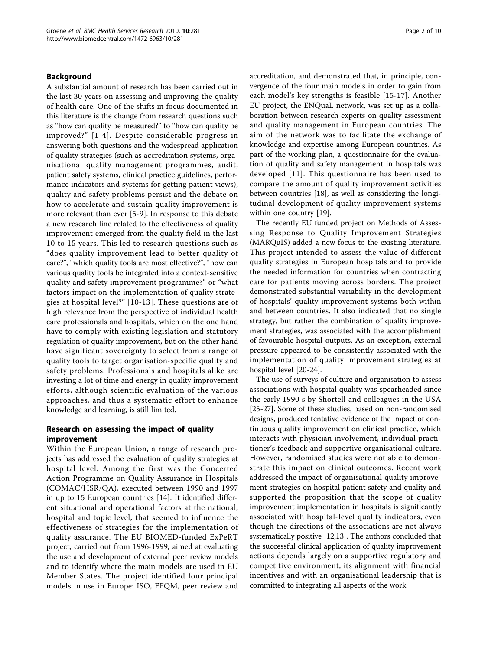### Background

A substantial amount of research has been carried out in the last 30 years on assessing and improving the quality of health care. One of the shifts in focus documented in this literature is the change from research questions such as "how can quality be measured?" to "how can quality be improved?" [[1-4](#page-7-0)]. Despite considerable progress in answering both questions and the widespread application of quality strategies (such as accreditation systems, organisational quality management programmes, audit, patient safety systems, clinical practice guidelines, performance indicators and systems for getting patient views), quality and safety problems persist and the debate on how to accelerate and sustain quality improvement is more relevant than ever [[5-9](#page-7-0)]. In response to this debate a new research line related to the effectiveness of quality improvement emerged from the quality field in the last 10 to 15 years. This led to research questions such as "does quality improvement lead to better quality of care?", "which quality tools are most effective?", "how can various quality tools be integrated into a context-sensitive quality and safety improvement programme?" or "what factors impact on the implementation of quality strategies at hospital level?" [[10-13\]](#page-7-0). These questions are of high relevance from the perspective of individual health care professionals and hospitals, which on the one hand have to comply with existing legislation and statutory regulation of quality improvement, but on the other hand have significant sovereignty to select from a range of quality tools to target organisation-specific quality and safety problems. Professionals and hospitals alike are investing a lot of time and energy in quality improvement efforts, although scientific evaluation of the various approaches, and thus a systematic effort to enhance knowledge and learning, is still limited.

# Research on assessing the impact of quality improvement

Within the European Union, a range of research projects has addressed the evaluation of quality strategies at hospital level. Among the first was the Concerted Action Programme on Quality Assurance in Hospitals (COMAC/HSR/QA), executed between 1990 and 1997 in up to 15 European countries [\[14](#page-7-0)]. It identified different situational and operational factors at the national, hospital and topic level, that seemed to influence the effectiveness of strategies for the implementation of quality assurance. The EU BIOMED-funded ExPeRT project, carried out from 1996-1999, aimed at evaluating the use and development of external peer review models and to identify where the main models are used in EU Member States. The project identified four principal models in use in Europe: ISO, EFQM, peer review and accreditation, and demonstrated that, in principle, convergence of the four main models in order to gain from each model's key strengths is feasible [[15-](#page-7-0)[17\]](#page-8-0). Another EU project, the ENQuaL network, was set up as a collaboration between research experts on quality assessment and quality management in European countries. The aim of the network was to facilitate the exchange of knowledge and expertise among European countries. As part of the working plan, a questionnaire for the evaluation of quality and safety management in hospitals was developed [[11\]](#page-7-0). This questionnaire has been used to compare the amount of quality improvement activities between countries [\[18](#page-8-0)], as well as considering the longitudinal development of quality improvement systems within one country [[19](#page-8-0)].

The recently EU funded project on Methods of Assessing Response to Quality Improvement Strategies (MARQuIS) added a new focus to the existing literature. This project intended to assess the value of different quality strategies in European hospitals and to provide the needed information for countries when contracting care for patients moving across borders. The project demonstrated substantial variability in the development of hospitals' quality improvement systems both within and between countries. It also indicated that no single strategy, but rather the combination of quality improvement strategies, was associated with the accomplishment of favourable hospital outputs. As an exception, external pressure appeared to be consistently associated with the implementation of quality improvement strategies at hospital level [[20](#page-8-0)-[24\]](#page-8-0).

The use of surveys of culture and organisation to assess associations with hospital quality was spearheaded since the early 1990 s by Shortell and colleagues in the USA [[25-27\]](#page-8-0). Some of these studies, based on non-randomised designs, produced tentative evidence of the impact of continuous quality improvement on clinical practice, which interacts with physician involvement, individual practitioner's feedback and supportive organisational culture. However, randomised studies were not able to demonstrate this impact on clinical outcomes. Recent work addressed the impact of organisational quality improvement strategies on hospital patient safety and quality and supported the proposition that the scope of quality improvement implementation in hospitals is significantly associated with hospital-level quality indicators, even though the directions of the associations are not always systematically positive [\[12,13\]](#page-7-0). The authors concluded that the successful clinical application of quality improvement actions depends largely on a supportive regulatory and competitive environment, its alignment with financial incentives and with an organisational leadership that is committed to integrating all aspects of the work.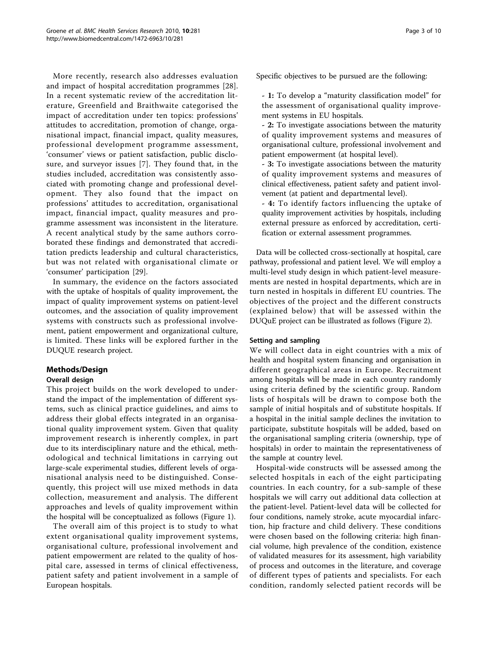More recently, research also addresses evaluation and impact of hospital accreditation programmes [[28](#page-8-0)]. In a recent systematic review of the accreditation literature, Greenfield and Braithwaite categorised the impact of accreditation under ten topics: professions' attitudes to accreditation, promotion of change, organisational impact, financial impact, quality measures, professional development programme assessment, 'consumer' views or patient satisfaction, public disclosure, and surveyor issues [[7](#page-7-0)]. They found that, in the studies included, accreditation was consistently associated with promoting change and professional development. They also found that the impact on professions' attitudes to accreditation, organisational impact, financial impact, quality measures and programme assessment was inconsistent in the literature. A recent analytical study by the same authors corroborated these findings and demonstrated that accreditation predicts leadership and cultural characteristics, but was not related with organisational climate or 'consumer' participation [[29](#page-8-0)].

In summary, the evidence on the factors associated with the uptake of hospitals of quality improvement, the impact of quality improvement systems on patient-level outcomes, and the association of quality improvement systems with constructs such as professional involvement, patient empowerment and organizational culture, is limited. These links will be explored further in the DUQUE research project.

# Methods/Design

# Overall design

This project builds on the work developed to understand the impact of the implementation of different systems, such as clinical practice guidelines, and aims to address their global effects integrated in an organisational quality improvement system. Given that quality improvement research is inherently complex, in part due to its interdisciplinary nature and the ethical, methodological and technical limitations in carrying out large-scale experimental studies, different levels of organisational analysis need to be distinguished. Consequently, this project will use mixed methods in data collection, measurement and analysis. The different approaches and levels of quality improvement within the hospital will be conceptualized as follows (Figure [1](#page-3-0)).

The overall aim of this project is to study to what extent organisational quality improvement systems, organisational culture, professional involvement and patient empowerment are related to the quality of hospital care, assessed in terms of clinical effectiveness, patient safety and patient involvement in a sample of European hospitals.

Specific objectives to be pursued are the following:

- 1: To develop a "maturity classification model" for the assessment of organisational quality improvement systems in EU hospitals.

- 2: To investigate associations between the maturity of quality improvement systems and measures of organisational culture, professional involvement and patient empowerment (at hospital level).

- 3: To investigate associations between the maturity of quality improvement systems and measures of clinical effectiveness, patient safety and patient involvement (at patient and departmental level).

- 4: To identify factors influencing the uptake of quality improvement activities by hospitals, including external pressure as enforced by accreditation, certification or external assessment programmes.

Data will be collected cross-sectionally at hospital, care pathway, professional and patient level. We will employ a multi-level study design in which patient-level measurements are nested in hospital departments, which are in turn nested in hospitals in different EU countries. The objectives of the project and the different constructs (explained below) that will be assessed within the DUQuE project can be illustrated as follows (Figure [2](#page-4-0)).

# Setting and sampling

We will collect data in eight countries with a mix of health and hospital system financing and organisation in different geographical areas in Europe. Recruitment among hospitals will be made in each country randomly using criteria defined by the scientific group. Random lists of hospitals will be drawn to compose both the sample of initial hospitals and of substitute hospitals. If a hospital in the initial sample declines the invitation to participate, substitute hospitals will be added, based on the organisational sampling criteria (ownership, type of hospitals) in order to maintain the representativeness of the sample at country level.

Hospital-wide constructs will be assessed among the selected hospitals in each of the eight participating countries. In each country, for a sub-sample of these hospitals we will carry out additional data collection at the patient-level. Patient-level data will be collected for four conditions, namely stroke, acute myocardial infarction, hip fracture and child delivery. These conditions were chosen based on the following criteria: high financial volume, high prevalence of the condition, existence of validated measures for its assessment, high variability of process and outcomes in the literature, and coverage of different types of patients and specialists. For each condition, randomly selected patient records will be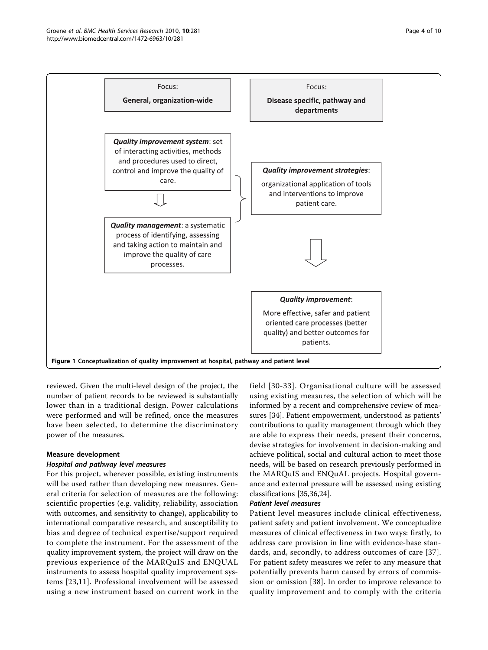<span id="page-3-0"></span>

reviewed. Given the multi-level design of the project, the number of patient records to be reviewed is substantially lower than in a traditional design. Power calculations were performed and will be refined, once the measures have been selected, to determine the discriminatory power of the measures.

#### Measure development

#### Hospital and pathway level measures

For this project, wherever possible, existing instruments will be used rather than developing new measures. General criteria for selection of measures are the following: scientific properties (e.g. validity, reliability, association with outcomes, and sensitivity to change), applicability to international comparative research, and susceptibility to bias and degree of technical expertise/support required to complete the instrument. For the assessment of the quality improvement system, the project will draw on the previous experience of the MARQuIS and ENQUAL instruments to assess hospital quality improvement systems [\[23,](#page-8-0)[11](#page-7-0)]. Professional involvement will be assessed using a new instrument based on current work in the field [[30-33](#page-8-0)]. Organisational culture will be assessed using existing measures, the selection of which will be informed by a recent and comprehensive review of measures [[34](#page-8-0)]. Patient empowerment, understood as patients' contributions to quality management through which they are able to express their needs, present their concerns, devise strategies for involvement in decision-making and achieve political, social and cultural action to meet those needs, will be based on research previously performed in the MARQuIS and ENQuAL projects. Hospital governance and external pressure will be assessed using existing classifications [\[35,36,24\]](#page-8-0).

# Patient level measures

Patient level measures include clinical effectiveness, patient safety and patient involvement. We conceptualize measures of clinical effectiveness in two ways: firstly, to address care provision in line with evidence-base standards, and, secondly, to address outcomes of care [[37](#page-8-0)]. For patient safety measures we refer to any measure that potentially prevents harm caused by errors of commission or omission [\[38\]](#page-8-0). In order to improve relevance to quality improvement and to comply with the criteria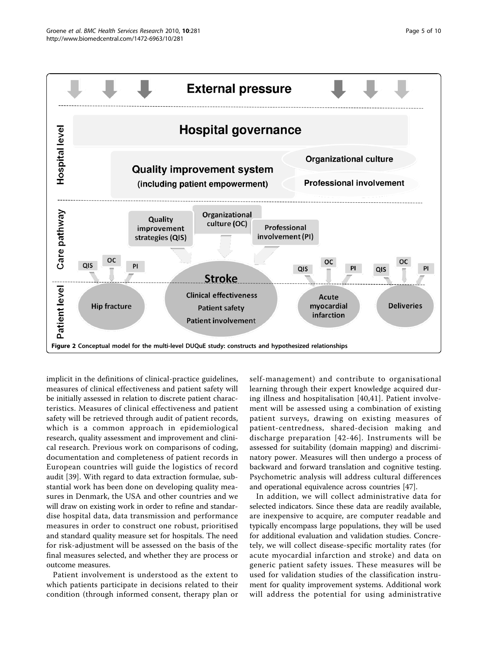<span id="page-4-0"></span>

implicit in the definitions of clinical-practice guidelines, measures of clinical effectiveness and patient safety will be initially assessed in relation to discrete patient characteristics. Measures of clinical effectiveness and patient safety will be retrieved through audit of patient records, which is a common approach in epidemiological research, quality assessment and improvement and clinical research. Previous work on comparisons of coding, documentation and completeness of patient records in European countries will guide the logistics of record audit [[39\]](#page-8-0). With regard to data extraction formulae, substantial work has been done on developing quality measures in Denmark, the USA and other countries and we will draw on existing work in order to refine and standardise hospital data, data transmission and performance measures in order to construct one robust, prioritised and standard quality measure set for hospitals. The need for risk-adjustment will be assessed on the basis of the final measures selected, and whether they are process or outcome measures.

Patient involvement is understood as the extent to which patients participate in decisions related to their condition (through informed consent, therapy plan or self-management) and contribute to organisational learning through their expert knowledge acquired during illness and hospitalisation [\[40](#page-8-0),[41](#page-8-0)]. Patient involvement will be assessed using a combination of existing patient surveys, drawing on existing measures of patient-centredness, shared-decision making and discharge preparation [[42-46\]](#page-8-0). Instruments will be assessed for suitability (domain mapping) and discriminatory power. Measures will then undergo a process of backward and forward translation and cognitive testing. Psychometric analysis will address cultural differences and operational equivalence across countries [[47\]](#page-8-0).

In addition, we will collect administrative data for selected indicators. Since these data are readily available, are inexpensive to acquire, are computer readable and typically encompass large populations, they will be used for additional evaluation and validation studies. Concretely, we will collect disease-specific mortality rates (for acute myocardial infarction and stroke) and data on generic patient safety issues. These measures will be used for validation studies of the classification instrument for quality improvement systems. Additional work will address the potential for using administrative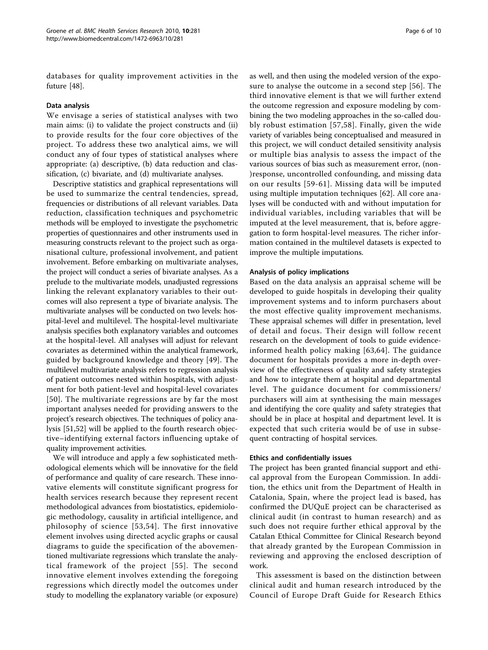databases for quality improvement activities in the future [[48](#page-8-0)].

#### Data analysis

We envisage a series of statistical analyses with two main aims: (i) to validate the project constructs and (ii) to provide results for the four core objectives of the project. To address these two analytical aims, we will conduct any of four types of statistical analyses where appropriate: (a) descriptive, (b) data reduction and classification, (c) bivariate, and (d) multivariate analyses.

Descriptive statistics and graphical representations will be used to summarize the central tendencies, spread, frequencies or distributions of all relevant variables. Data reduction, classification techniques and psychometric methods will be employed to investigate the psychometric properties of questionnaires and other instruments used in measuring constructs relevant to the project such as organisational culture, professional involvement, and patient involvement. Before embarking on multivariate analyses, the project will conduct a series of bivariate analyses. As a prelude to the multivariate models, unadjusted regressions linking the relevant explanatory variables to their outcomes will also represent a type of bivariate analysis. The multivariate analyses will be conducted on two levels: hospital-level and multilevel. The hospital-level multivariate analysis specifies both explanatory variables and outcomes at the hospital-level. All analyses will adjust for relevant covariates as determined within the analytical framework, guided by background knowledge and theory [[49](#page-8-0)]. The multilevel multivariate analysis refers to regression analysis of patient outcomes nested within hospitals, with adjustment for both patient-level and hospital-level covariates [[50\]](#page-8-0). The multivariate regressions are by far the most important analyses needed for providing answers to the project's research objectives. The techniques of policy analysis [\[51,52](#page-8-0)] will be applied to the fourth research objective–identifying external factors influencing uptake of quality improvement activities.

We will introduce and apply a few sophisticated methodological elements which will be innovative for the field of performance and quality of care research. These innovative elements will constitute significant progress for health services research because they represent recent methodological advances from biostatistics, epidemiologic methodology, causality in artificial intelligence, and philosophy of science [[53](#page-8-0),[54\]](#page-8-0). The first innovative element involves using directed acyclic graphs or causal diagrams to guide the specification of the abovementioned multivariate regressions which translate the analytical framework of the project [[55\]](#page-8-0). The second innovative element involves extending the foregoing regressions which directly model the outcomes under study to modelling the explanatory variable (or exposure) as well, and then using the modeled version of the exposure to analyse the outcome in a second step [[56](#page-8-0)]. The third innovative element is that we will further extend the outcome regression and exposure modeling by combining the two modeling approaches in the so-called doubly robust estimation [[57,58\]](#page-8-0). Finally, given the wide variety of variables being conceptualised and measured in this project, we will conduct detailed sensitivity analysis or multiple bias analysis to assess the impact of the various sources of bias such as measurement error, (non- )response, uncontrolled confounding, and missing data on our results [[59-61\]](#page-8-0). Missing data will be imputed using multiple imputation techniques [\[62](#page-8-0)]. All core analyses will be conducted with and without imputation for individual variables, including variables that will be imputed at the level measurement, that is, before aggregation to form hospital-level measures. The richer information contained in the multilevel datasets is expected to improve the multiple imputations.

#### Analysis of policy implications

Based on the data analysis an appraisal scheme will be developed to guide hospitals in developing their quality improvement systems and to inform purchasers about the most effective quality improvement mechanisms. These appraisal schemes will differ in presentation, level of detail and focus. Their design will follow recent research on the development of tools to guide evidenceinformed health policy making [[63](#page-8-0),[64](#page-8-0)]. The guidance document for hospitals provides a more in-depth overview of the effectiveness of quality and safety strategies and how to integrate them at hospital and departmental level. The guidance document for commissioners/ purchasers will aim at synthesising the main messages and identifying the core quality and safety strategies that should be in place at hospital and department level. It is expected that such criteria would be of use in subsequent contracting of hospital services.

#### Ethics and confidentially issues

The project has been granted financial support and ethical approval from the European Commission. In addition, the ethics unit from the Department of Health in Catalonia, Spain, where the project lead is based, has confirmed the DUQuE project can be characterised as clinical audit (in contrast to human research) and as such does not require further ethical approval by the Catalan Ethical Committee for Clinical Research beyond that already granted by the European Commission in reviewing and approving the enclosed description of work.

This assessment is based on the distinction between clinical audit and human research introduced by the Council of Europe Draft Guide for Research Ethics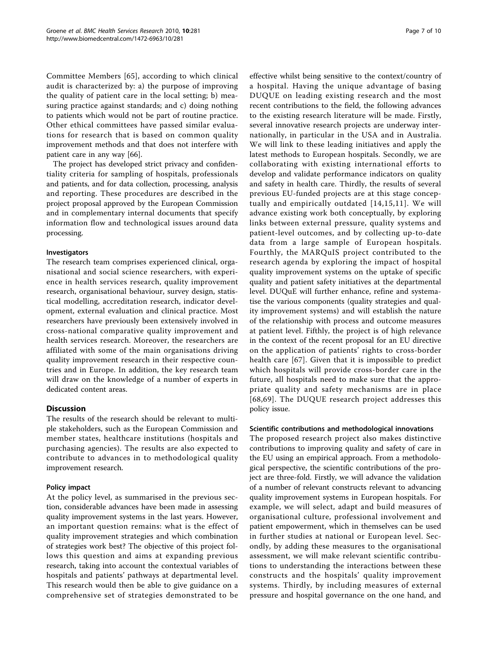Committee Members [[65\]](#page-8-0), according to which clinical audit is characterized by: a) the purpose of improving the quality of patient care in the local setting; b) measuring practice against standards; and c) doing nothing to patients which would not be part of routine practice. Other ethical committees have passed similar evaluations for research that is based on common quality improvement methods and that does not interfere with patient care in any way [[66](#page-8-0)].

The project has developed strict privacy and confidentiality criteria for sampling of hospitals, professionals and patients, and for data collection, processing, analysis and reporting. These procedures are described in the project proposal approved by the European Commission and in complementary internal documents that specify information flow and technological issues around data processing.

#### Investigators

The research team comprises experienced clinical, organisational and social science researchers, with experience in health services research, quality improvement research, organisational behaviour, survey design, statistical modelling, accreditation research, indicator development, external evaluation and clinical practice. Most researchers have previously been extensively involved in cross-national comparative quality improvement and health services research. Moreover, the researchers are affiliated with some of the main organisations driving quality improvement research in their respective countries and in Europe. In addition, the key research team will draw on the knowledge of a number of experts in dedicated content areas.

# **Discussion**

The results of the research should be relevant to multiple stakeholders, such as the European Commission and member states, healthcare institutions (hospitals and purchasing agencies). The results are also expected to contribute to advances in to methodological quality improvement research.

# Policy impact

At the policy level, as summarised in the previous section, considerable advances have been made in assessing quality improvement systems in the last years. However, an important question remains: what is the effect of quality improvement strategies and which combination of strategies work best? The objective of this project follows this question and aims at expanding previous research, taking into account the contextual variables of hospitals and patients' pathways at departmental level. This research would then be able to give guidance on a comprehensive set of strategies demonstrated to be

effective whilst being sensitive to the context/country of a hospital. Having the unique advantage of basing DUQUE on leading existing research and the most recent contributions to the field, the following advances to the existing research literature will be made. Firstly, several innovative research projects are underway internationally, in particular in the USA and in Australia. We will link to these leading initiatives and apply the latest methods to European hospitals. Secondly, we are collaborating with existing international efforts to develop and validate performance indicators on quality and safety in health care. Thirdly, the results of several previous EU-funded projects are at this stage conceptually and empirically outdated [[14](#page-7-0),[15,11](#page-7-0)]. We will advance existing work both conceptually, by exploring links between external pressure, quality systems and patient-level outcomes, and by collecting up-to-date data from a large sample of European hospitals. Fourthly, the MARQuIS project contributed to the research agenda by exploring the impact of hospital quality improvement systems on the uptake of specific quality and patient safety initiatives at the departmental level. DUQuE will further enhance, refine and systematise the various components (quality strategies and quality improvement systems) and will establish the nature of the relationship with process and outcome measures at patient level. Fifthly, the project is of high relevance in the context of the recent proposal for an EU directive on the application of patients' rights to cross-border health care [[67](#page-9-0)]. Given that it is impossible to predict which hospitals will provide cross-border care in the future, all hospitals need to make sure that the appropriate quality and safety mechanisms are in place [[68,69\]](#page-9-0). The DUQUE research project addresses this policy issue.

# Scientific contributions and methodological innovations

The proposed research project also makes distinctive contributions to improving quality and safety of care in the EU using an empirical approach. From a methodological perspective, the scientific contributions of the project are three-fold. Firstly, we will advance the validation of a number of relevant constructs relevant to advancing quality improvement systems in European hospitals. For example, we will select, adapt and build measures of organisational culture, professional involvement and patient empowerment, which in themselves can be used in further studies at national or European level. Secondly, by adding these measures to the organisational assessment, we will make relevant scientific contributions to understanding the interactions between these constructs and the hospitals' quality improvement systems. Thirdly, by including measures of external pressure and hospital governance on the one hand, and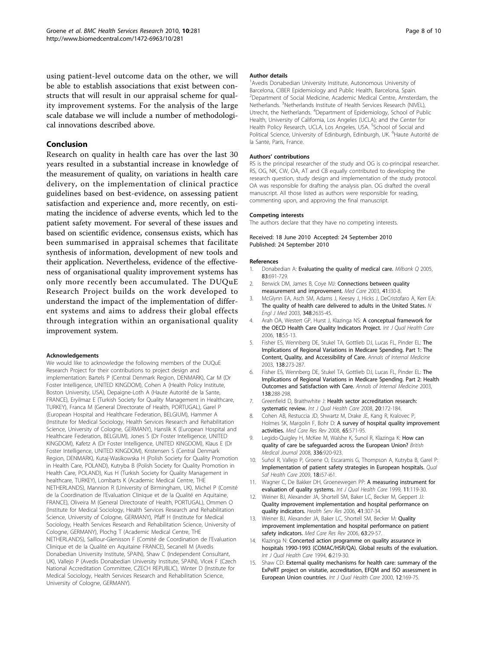<span id="page-7-0"></span>using patient-level outcome data on the other, we will be able to establish associations that exist between constructs that will result in our appraisal scheme for quality improvement systems. For the analysis of the large scale database we will include a number of methodological innovations described above.

### Conclusion

Research on quality in health care has over the last 30 years resulted in a substantial increase in knowledge of the measurement of quality, on variations in health care delivery, on the implementation of clinical practice guidelines based on best-evidence, on assessing patient satisfaction and experience and, more recently, on estimating the incidence of adverse events, which led to the patient safety movement. For several of these issues and based on scientific evidence, consensus exists, which has been summarised in appraisal schemes that facilitate synthesis of information, development of new tools and their application. Nevertheless, evidence of the effectiveness of organisational quality improvement systems has only more recently been accumulated. The DUQuE Research Project builds on the work developed to understand the impact of the implementation of different systems and aims to address their global effects through integration within an organisational quality improvement system.

#### Acknowledgements

We would like to acknowledge the following members of the DUQuE Research Project for their contributions to project design and implementation: Bartels P (Central Denmark Region, DENMARK), Car M (Dr Foster Intelligence, UNITED KINGDOM), Cohen A (Health Policy Institute, Boston University, USA), Depaigne-Loth A (Haute Autorité de la Sante, FRANCE), Eryilmaz E (Turkish Society for Quality Management in Healthcare, TURKEY), Franca M (General Directorate of Health, PORTUGAL), Garel P (European Hospital and Healthcare Federation, BELGIUM), Hammer A (Institute for Medical Sociology, Health Services Research and Rehabilitation Science, University of Cologne, GERMANY), Hanslik K (European Hospital and Healthcare Federation, BELGIUM), Jones S (Dr Foster Intelligence, UNITED KINGDOM), Kafetz A (Dr Foster Intelligence, UNITED KINGDOM), Klaus E (Dr Foster Intelligence, UNITED KINGDOM), Kristensen S (Central Denmark Region, DENMARK), Kutaj-Wasikowska H (Polish Society for Quality Promotion in Health Care, POLAND), Kutryba B (Polish Society for Quality Promotion in Health Care, POLAND), Kus H (Turkish Society for Quality Management in healthcare, TURKEY), Lombarts K (Academic Medical Centre, THE NETHERLANDS), Mannion R (University of Birmingham, UK), Michel P (Comité de la Coordination de l'Evaluation Clinique et de la Qualité en Aquitaine, FRANCE), Oliveira M (General Directorate of Health, PORTUGAL), Ommen O (Institute for Medical Sociology, Health Services Research and Rehabilitation Science, University of Cologne, GERMANY), Pfaff H (Institute for Medical Sociology, Health Services Research and Rehabilitation Science, University of Cologne, GERMANY), Plochg T (Academic Medical Centre, THE NETHERLANDS), Saillour-Glenisson F (Comité de Coordination de l'Evaluation Clinique et de la Qualité en Aquitaine FRANCE), Secanell M (Avedis Donabedian University Institute, SPAIN), Shaw C (Independent Consultant, UK), Vallejo P (Avedis Donabedian University Institute, SPAIN), Vlcek F (Czech National Accreditation Committee, CZECH REPUBLIC), Winter D (Institute for Medical Sociology, Health Services Research and Rehabilitation Science, University of Cologne, GERMANY).

#### Author details

<sup>1</sup> Avedis Donabedian University Institute, Autonomous University of Barcelona, CIBER Epidemiology and Public Health, Barcelona, Spain. <sup>2</sup>Department of Social Medicine, Academic Medical Centre, Amsterdam, the Netherlands. <sup>3</sup>Netherlands Institute of Health Services Research (NIVEL), Utrecht, the Netherlands. <sup>4</sup>Department of Epidemiology, School of Public Health, University of California, Los Angeles (UCLA); and the Center for Health Policy Research, UCLA, Los Angeles, USA. <sup>5</sup>School of Social and Political Science, University of Edinburgh, Edinburgh, UK. <sup>6</sup>Haute Autorité de la Sante, Paris, France.

#### Authors' contributions

RS is the principal researcher of the study and OG is co-principal researcher. RS, OG, NK, CW, OA, AT and CB equally contributed to developing the research question, study design and implementation of the study protocol. OA was responsible for drafting the analysis plan. OG drafted the overall manuscript. All those listed as authors were responsible for reading, commenting upon, and approving the final manuscript.

#### Competing interests

The authors declare that they have no competing interests.

Received: 18 June 2010 Accepted: 24 September 2010 Published: 24 September 2010

#### References

- 1. Donabedian A: [Evaluating the quality of medical care.](http://www.ncbi.nlm.nih.gov/pubmed/16279964?dopt=Abstract) Milbank Q 2005, 83:691-729.
- 2. Berwick DM, James B, Coye MJ: [Connections between quality](http://www.ncbi.nlm.nih.gov/pubmed/12544814?dopt=Abstract) [measurement and improvement.](http://www.ncbi.nlm.nih.gov/pubmed/12544814?dopt=Abstract) Med Care 2003, 41:I30-8.
- 3. McGlynn EA, Asch SM, Adams J, Keesey J, Hicks J, DeCristofaro A, Kerr EA: [The quality of health care delivered to adults in the United States.](http://www.ncbi.nlm.nih.gov/pubmed/12826639?dopt=Abstract) N Engl J Med 2003, 348:2635-45.
- 4. Arah OA, Westert GP, Hurst J, Klazinga NS: A conceptual framework for the OECD Health Care Quality Indicators Project. Int J Qual Health Care 2006, 18:S5-13.
- 5. Fisher ES, Wennberg DE, Stukel TA, Gottlieb DJ, Lucas FL, Pinder EL: [The](http://www.ncbi.nlm.nih.gov/pubmed/12585825?dopt=Abstract) [Implications of Regional Variations in Medicare Spending. Part 1: The](http://www.ncbi.nlm.nih.gov/pubmed/12585825?dopt=Abstract) [Content, Quality, and Accessibility of Care.](http://www.ncbi.nlm.nih.gov/pubmed/12585825?dopt=Abstract) Annals of Internal Medicine 2003, 138:273-287.
- 6. Fisher ES, Wennberg DE, Stukel TA, Gottlieb DJ, Lucas FL, Pinder EL: [The](http://www.ncbi.nlm.nih.gov/pubmed/12585826?dopt=Abstract) [Implications of Regional Variations in Medicare Spending. Part 2: Health](http://www.ncbi.nlm.nih.gov/pubmed/12585826?dopt=Abstract) [Outcomes and Satisfaction with Care.](http://www.ncbi.nlm.nih.gov/pubmed/12585826?dopt=Abstract) Annals of Internal Medicine 2003, 138:288-298.
- 7. Greenfield D, Braithwhite J: [Health sector accreditation research:](http://www.ncbi.nlm.nih.gov/pubmed/18339666?dopt=Abstract) [systematic review.](http://www.ncbi.nlm.nih.gov/pubmed/18339666?dopt=Abstract) Int J Qual Health Care 2008, 20:172-184.
- 8. Cohen AB, Restuccia JD, Shwartz M, Drake JE, Kang R, Kralovec P, Holmes SK, Margolin F, Bohr D: [A survey of hospital quality improvement](http://www.ncbi.nlm.nih.gov/pubmed/18511811?dopt=Abstract) [activities.](http://www.ncbi.nlm.nih.gov/pubmed/18511811?dopt=Abstract) Med Care Res Rev 2008, 65:571-95.
- 9. Legido-Quigley H, McKee M, Walshe K, Sunol R, Klazinga K; [How can](http://www.ncbi.nlm.nih.gov/pubmed/18436947?dopt=Abstract) [quality of care be safeguarded across the European Union?](http://www.ncbi.nlm.nih.gov/pubmed/18436947?dopt=Abstract) British Medical Journal 2008, 336:920-923.
- 10. Suñol R, Vallejo P, Groene O, Escaramis G, Thompson A, Kutryba B, Garel P: [Implementation of patient safety strategies in European hospitals.](http://www.ncbi.nlm.nih.gov/pubmed/19188463?dopt=Abstract) Qual Saf Health Care 2009, 18:i57-i61.
- 11. Wagner C, De Bakker DH, Groenewegen PP: [A measuring instrument for](http://www.ncbi.nlm.nih.gov/pubmed/10442842?dopt=Abstract) [evaluation of quality systems.](http://www.ncbi.nlm.nih.gov/pubmed/10442842?dopt=Abstract) Int J Qual Health Care 1999, 11:119-30.
- 12. Weiner BJ, Alexander JA, Shortell SM, Baker LC, Becker M, Geppert JJ: [Quality improvement implementation and hospital performance on](http://www.ncbi.nlm.nih.gov/pubmed/16584451?dopt=Abstract) [quality indicators.](http://www.ncbi.nlm.nih.gov/pubmed/16584451?dopt=Abstract) Health Serv Res 2006, 41:307-34.
- 13. Weiner BJ, Alexander JA, Baker LC, Shortell SM, Becker M: [Quality](http://www.ncbi.nlm.nih.gov/pubmed/16686072?dopt=Abstract) [improvement implementation and hospital performance on patient](http://www.ncbi.nlm.nih.gov/pubmed/16686072?dopt=Abstract) [safety indicators.](http://www.ncbi.nlm.nih.gov/pubmed/16686072?dopt=Abstract) Med Care Res Rev 2006, 63:29-57.
- 14. Klazinga N: [Concerted action programme on quality assurance in](http://www.ncbi.nlm.nih.gov/pubmed/7795956?dopt=Abstract) [hospitals 1990-1993 \(COMAC/HSR/QA\). Global results of the evaluation.](http://www.ncbi.nlm.nih.gov/pubmed/7795956?dopt=Abstract) Int J Qual Health Care 1994, 6:219-30.
- 15. Shaw CD: [External quality mechanisms for health care: summary of the](http://www.ncbi.nlm.nih.gov/pubmed/10894187?dopt=Abstract) [ExPeRT project on visitatie, accreditation, EFQM and ISO assessment in](http://www.ncbi.nlm.nih.gov/pubmed/10894187?dopt=Abstract) [European Union countries.](http://www.ncbi.nlm.nih.gov/pubmed/10894187?dopt=Abstract) Int J Qual Health Care 2000, 12:169-75.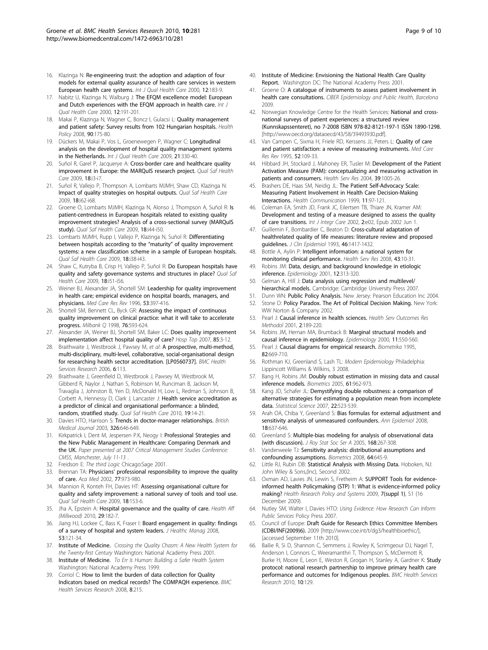- <span id="page-8-0"></span>16. Klazinga N: [Re-engineering trust: the adoption and adaption of four](http://www.ncbi.nlm.nih.gov/pubmed/10894189?dopt=Abstract) [models for external quality assurance of health care services in western](http://www.ncbi.nlm.nih.gov/pubmed/10894189?dopt=Abstract) [European health care systems.](http://www.ncbi.nlm.nih.gov/pubmed/10894189?dopt=Abstract) Int J Qual Health Care 2000, 12:183-9.
- 17. Nabitz U, Klazinga N, Walburg J: [The EFQM excellence model: European](http://www.ncbi.nlm.nih.gov/pubmed/10894190?dopt=Abstract) [and Dutch experiences with the EFQM approach in health care.](http://www.ncbi.nlm.nih.gov/pubmed/10894190?dopt=Abstract) Int J Qual Health Care 2000, 12:191-201.
- 18. Makai P, Klazinga N, Wagner C, Boncz I, Gulacsi L: [Quality management](http://www.ncbi.nlm.nih.gov/pubmed/19004518?dopt=Abstract) [and patient safety: Survey results from 102 Hungarian hospitals.](http://www.ncbi.nlm.nih.gov/pubmed/19004518?dopt=Abstract) Health Policy 2008, 90:175-80.
- 19. Dückers M, Makai P, Vos L, Groenewegen P, Wagner C: [Longitudinal](http://www.ncbi.nlm.nih.gov/pubmed/19689988?dopt=Abstract) [analysis on the development of hospital quality management systems](http://www.ncbi.nlm.nih.gov/pubmed/19689988?dopt=Abstract) [in the Netherlands.](http://www.ncbi.nlm.nih.gov/pubmed/19689988?dopt=Abstract) Int J Qual Health Care 2009, 21:330-40.
- 20. Suñol R, Garel P, Jacquerye A: [Cross-border care and healthcare quality](http://www.ncbi.nlm.nih.gov/pubmed/19188459?dopt=Abstract) [improvement in Europe: the MARQuIS research project.](http://www.ncbi.nlm.nih.gov/pubmed/19188459?dopt=Abstract) Qual Saf Health Care 2009, 18:i3-i7.
- 21. Suñol R, Vallejo P, Thompson A, Lombarts MJMH, Shaw CD, Klazinga N: [Impact of quality strategies on hospital outputs.](http://www.ncbi.nlm.nih.gov/pubmed/19188464?dopt=Abstract) Qual Saf Health Care 2009, 18:i62-i68.
- 22. Groene O, Lombarts MJMH, Klazinga N, Alonso J, Thompson A, Suñol R: [Is](http://www.ncbi.nlm.nih.gov/pubmed/19188461?dopt=Abstract) [patient-centredness in European hospitals related to existing quality](http://www.ncbi.nlm.nih.gov/pubmed/19188461?dopt=Abstract) [improvement strategies? Analysis of a cross-sectional survey \(MARQuIS](http://www.ncbi.nlm.nih.gov/pubmed/19188461?dopt=Abstract) [study\).](http://www.ncbi.nlm.nih.gov/pubmed/19188461?dopt=Abstract) Qual Saf Health Care 2009, 18:i44-i50.
- 23. Lombarts MJMH, Rupp I, Vallejo P, Klazinga N, Suñol R: [Differentiating](http://www.ncbi.nlm.nih.gov/pubmed/19188460?dopt=Abstract) [between hospitals according to the](http://www.ncbi.nlm.nih.gov/pubmed/19188460?dopt=Abstract) "maturity" of quality improvement [systems: a new classification scheme in a sample of European hospitals.](http://www.ncbi.nlm.nih.gov/pubmed/19188460?dopt=Abstract) Qual Saf Health Care 2009, 18:i38-i43.
- 24. Shaw C, Kutryba B, Crisp H, Vallejo P, Suñol R: [Do European hospitals have](http://www.ncbi.nlm.nih.gov/pubmed/19188462?dopt=Abstract) [quality and safety governance systems and structures in place?](http://www.ncbi.nlm.nih.gov/pubmed/19188462?dopt=Abstract) Qual Saf Health Care 2009, 18:i51-i56.
- 25. Weiner BJ, Alexander JA, Shortell SM: [Leadership for quality improvement](http://www.ncbi.nlm.nih.gov/pubmed/10162958?dopt=Abstract) [in health care; empirical evidence on hospital boards, managers, and](http://www.ncbi.nlm.nih.gov/pubmed/10162958?dopt=Abstract) [physicians.](http://www.ncbi.nlm.nih.gov/pubmed/10162958?dopt=Abstract) Med Care Res Rev 1996, 53:397-416.
- 26. Shortell SM, Bennett CL, Byck GR: [Assessing the impact of continuous](http://www.ncbi.nlm.nih.gov/pubmed/9879304?dopt=Abstract) [quality improvement on clinical practice: what it will take to accelerate](http://www.ncbi.nlm.nih.gov/pubmed/9879304?dopt=Abstract) [progress.](http://www.ncbi.nlm.nih.gov/pubmed/9879304?dopt=Abstract) Milbank Q 1998, 76:593-624.
- 27. Alexander JA, Weiner BJ, Shortell SM, Baker LC: [Does quality improvement](http://www.ncbi.nlm.nih.gov/pubmed/17650463?dopt=Abstract) [implementation affect hospital quality of care?](http://www.ncbi.nlm.nih.gov/pubmed/17650463?dopt=Abstract) Hosp Top 2007, 85:3-12.
- 28. Braithwaite J, Westbrook J, Pawsey M, et al: [A prospective, multi-method,](http://www.ncbi.nlm.nih.gov/pubmed/16968552?dopt=Abstract) [multi-disciplinary, multi-level, collaborative, social-organisational design](http://www.ncbi.nlm.nih.gov/pubmed/16968552?dopt=Abstract) [for researching health sector accreditation. \[LP0560737\].](http://www.ncbi.nlm.nih.gov/pubmed/16968552?dopt=Abstract) BMC Health Services Research 2006, 6:113.
- 29. Braithwaite J, Greenfield D, Westbrook J, Pawsey M, Westbrook M, Gibberd R, Naylor J, Nathan S, Robinson M, Runciman B, Jackson M, Travaglia J, Johnston B, Yen D, McDonald H, Low L, Redman S, Johnson B, Corbett A, Hennessy D, Clark J, Lancaster J: [Health service accreditation as](http://www.ncbi.nlm.nih.gov/pubmed/20172877?dopt=Abstract) [a predictor of clinical and organisational performance: a blinded,](http://www.ncbi.nlm.nih.gov/pubmed/20172877?dopt=Abstract) [random, stratified study.](http://www.ncbi.nlm.nih.gov/pubmed/20172877?dopt=Abstract) Qual Saf Health Care 2010, 19:14-21.
- 30. Davies HTO, Harrison S: [Trends in doctor-manager relationships.](http://www.ncbi.nlm.nih.gov/pubmed/12649243?dopt=Abstract) British Medical Journal 2003, 326:646-649.
- 31. Kirkpatrick I, Dent M, Jespersen P.K, Neogy I: Professional Strategies and the New Public Management in Healthcare: Comparing Denmark and the UK. Paper presented at 2007 Critical Management Studies Conference: CMS5, Manchester, July 11-13 .
- 32. Freidson E: The third Logic Chicago:Sage 2001.
- 33. Brennan TA: Physicians' professional responsibility to improve the quality of care. Aca Med 2002, 77:973-980.
- 34. Mannion R, Konteh FH, Davies HT: [Assessing organisational culture for](http://www.ncbi.nlm.nih.gov/pubmed/19342532?dopt=Abstract) [quality and safety improvement: a national survey of tools and tool use.](http://www.ncbi.nlm.nih.gov/pubmed/19342532?dopt=Abstract) Qual Saf Health Care 2009, 18:153-6.
- 35. Jha A, Epstein A: [Hospital governance and the quality of care.](http://www.ncbi.nlm.nih.gov/pubmed/19897509?dopt=Abstract) Health Aff (Millwood) 2010, 29:182-7.
- 36. Jiang HJ, Lockee C, Bass K, Fraser I: [Board engagement in quality: findings](http://www.ncbi.nlm.nih.gov/pubmed/18421996?dopt=Abstract) [of a survey of hospital and system leaders.](http://www.ncbi.nlm.nih.gov/pubmed/18421996?dopt=Abstract) J Healthc Manag 2008, 53:121-34.
- 37. Institute of Medicine. Crossing the Quality Chasm: A New Health System for the Twenty-first Century Washington: National Academy Press 2001.
- 38. Institute of Medicine. To Err Is Human: Building a Safer Health System Washington: National Academy Press 1999.
- 39. Corriol C: [How to limit the burden of data collection for Quality](http://www.ncbi.nlm.nih.gov/pubmed/18940005?dopt=Abstract) [Indicators based on medical records? The COMPAQH experience.](http://www.ncbi.nlm.nih.gov/pubmed/18940005?dopt=Abstract) BMC Health Services Research 2008, 8:215.
- 40. Institute of Medicine: Envisioning the National Health Care Quality Report. Washington DC: The National Academy Press 2001.
- 41. Groene O: A catalogue of instruments to assess patient involvement in health care consultations. CIBER Epidemiology and Public Health, Barcelona 2009.
- 42. Norwegian Knowledge Centre for the Health Services: National and crossnational surveys of patient experiences: a structured review (Kunnskapssenteret), no 7-2008 ISBN 978-82-8121-197-1 ISSN 1890-1298. [[http://www.oecd.org/dataoecd/43/58/39493930.pdf\]](http://www.oecd.org/dataoecd/43/58/39493930.pdf).
- 43. Van Campen C, Sixma H, Friele RD, Kerssens JJ, Peters L; [Quality of care](http://www.ncbi.nlm.nih.gov/pubmed/10143573?dopt=Abstract) [and patient satisfaction: a review of measuring instruments.](http://www.ncbi.nlm.nih.gov/pubmed/10143573?dopt=Abstract) Med Care Res Rev 1995, 52:109-33.
- 44. Hibbard JH, Stockard J, Mahoney ER, Tusler M: [Development of the Patient](http://www.ncbi.nlm.nih.gov/pubmed/15230939?dopt=Abstract) [Activation Measure \(PAM\): conceptualizing and measuring activation in](http://www.ncbi.nlm.nih.gov/pubmed/15230939?dopt=Abstract) [patients and consumers.](http://www.ncbi.nlm.nih.gov/pubmed/15230939?dopt=Abstract) Health Serv Res 2004, 39:1005-26.
- 45. Brashers DE, Haas SM, Neidig JL: [The Patient Self-Advocacy Scale:](http://www.ncbi.nlm.nih.gov/pubmed/16370972?dopt=Abstract) [Measuring Patient Involvement in Health Care Decision-Making](http://www.ncbi.nlm.nih.gov/pubmed/16370972?dopt=Abstract) [Interactions.](http://www.ncbi.nlm.nih.gov/pubmed/16370972?dopt=Abstract) Health Communication 1999, 11:97-121.
- 46. Coleman EA, Smith JD, Frank JC, Eilertsen TB, Thiare JN, Kramer AM: [Development and testing of a measure designed to assess the quality](http://www.ncbi.nlm.nih.gov/pubmed/16896392?dopt=Abstract) [of care transitions.](http://www.ncbi.nlm.nih.gov/pubmed/16896392?dopt=Abstract) Int J Integr Care 2002, 2:e02, Epub 2002 Jun 1.
- 47. Guillemin F, Bombardier C, Beaton D: [Cross-cultural adaptation of](http://www.ncbi.nlm.nih.gov/pubmed/8263569?dopt=Abstract) [healthrelated quality of life measures: literature review and proposed](http://www.ncbi.nlm.nih.gov/pubmed/8263569?dopt=Abstract) [guidelines.](http://www.ncbi.nlm.nih.gov/pubmed/8263569?dopt=Abstract) J Clin Epidemiol 1993, 46:1417-1432.
- 48. Bottle A, Aylin P: [Intelligent information: a national system for](http://www.ncbi.nlm.nih.gov/pubmed/18300370?dopt=Abstract) [monitoring clinical performance.](http://www.ncbi.nlm.nih.gov/pubmed/18300370?dopt=Abstract) Health Serv Res 2008, 43:10-31.
- 49. Robins JM: [Data, design, and background knowledge in etiologic](http://www.ncbi.nlm.nih.gov/pubmed/11338312?dopt=Abstract) [inference.](http://www.ncbi.nlm.nih.gov/pubmed/11338312?dopt=Abstract) Epidemiology 2001, 12:313-320.
- 50. Gelman A, Hill J: Data analysis using regression and multilevel/ hierarchical models. Cambridge: Cambridge University Press 2007.
- 51. Dunn WN: Public Policy Analysis. New Jersey: Pearson Education Inc 2004. Stone D: Policy Paradox. The Art of Political Decision Making. New York:
- WW Norton & Company 2002. 53. Pearl J: Causal inference in health sciences. Health Serv Outcomes Res Methodol 2001, 2:189-220.
- 54. Robins JM, Hernan MA, Brumback B: [Marginal structural models and](http://www.ncbi.nlm.nih.gov/pubmed/10955408?dopt=Abstract) [causal inference in epidemiology.](http://www.ncbi.nlm.nih.gov/pubmed/10955408?dopt=Abstract) Epidemiology 2000, 11:550-560.
- 55. Pearl J: Causal diagrams for empirical research. Biometrika 1995, 82:669-710.
- 56. Rothman KJ, Greenland S, Lash TL: Modern Epidemiology Philadelphia: Lippincott Williams & Wilkins, 3 2008.
- 57. Bang H, Robins JM: [Doubly robust estimation in missing data and causal](http://www.ncbi.nlm.nih.gov/pubmed/16401269?dopt=Abstract) [inference models.](http://www.ncbi.nlm.nih.gov/pubmed/16401269?dopt=Abstract) Biometrics 2005, 61:962-973.
- 58. Kang JD, Schafer JL: Demystifying double robustness: a comparison of alternative strategies for estimating a population mean from incomplete data. Statistical Science 2007, 22:523-539.
- 59. Arah OA, Chiba Y, Greenland S: [Bias formulas for external adjustment and](http://www.ncbi.nlm.nih.gov/pubmed/18652982?dopt=Abstract) [sensitivity analysis of unmeasured confounders.](http://www.ncbi.nlm.nih.gov/pubmed/18652982?dopt=Abstract) Ann Epidemiol 2008, 18:637-646.
- 60. Greenland S: Multiple-bias modeling for analysis of observational data (with discussion). J Roy Stat Soc Ser A 2005, 168:267-308.
- 61. Vanderweele TJ: [Sensitivity analysis: distributional assumptions and](http://www.ncbi.nlm.nih.gov/pubmed/18482060?dopt=Abstract) [confounding assumptions.](http://www.ncbi.nlm.nih.gov/pubmed/18482060?dopt=Abstract) Biometrics 2008, 64:645-9.
- 62. Little RJ, Rubin DB: Statistical Analysis with Missing Data. Hoboken, NJ: John Wiley & Sons,(Inc), Second 2002.
- 63. Oxman AD, Lavies JN, Lewin S, Fretheim A: SUPPORT Tools for evidenceinformed health Policymaking (STP) 1: What is evidence-informed policy making? Health Research Policy and Systems 2009, 7(suppl 1), S1 (16 December 2009).
- 64. Nutley SM, Walter I, Davies HTO: Using Evidence: How Research Can Inform Public Services Policy Press 2007.
- 65. Council of Europe: Draft Guide for Research Ethics Committee Members (CDBI/INF(2009)6). 2009 [[http://www.coe.int/t/dg3/healthbioethic/\]](http://www.coe.int/t/dg3/healthbioethic/), [accessed September 11th 2010].
- Bailie R, Si D, Shannon C, Semmens J, Rowley K, Scrimgeour DJ, Nagel T, Anderson I, Connors C, Weeramanthri T, Thompson S, McDermott R, Burke H, Moore E, Leon E, Weston R, Grogan H, Stanley A, Gardner K: [Study](http://www.ncbi.nlm.nih.gov/pubmed/20482810?dopt=Abstract) [protocol: national research partnership to improve primary health care](http://www.ncbi.nlm.nih.gov/pubmed/20482810?dopt=Abstract) [performance and outcomes for Indigenous peoples.](http://www.ncbi.nlm.nih.gov/pubmed/20482810?dopt=Abstract) BMC Health Services Research 2010, 10:129.